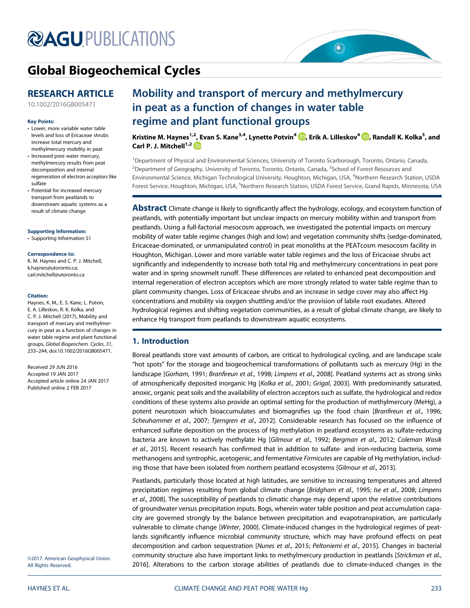# **@AGU[PUBLICATIONS](http://publications.agu.org/journals/)**



## [Global Biogeochemical Cycles](http://onlinelibrary.wiley.com/journal/10.1002/(ISSN)1944-9224)

### RESEARCH ARTICLE

[10.1002/2016GB005471](http://dx.doi.org/10.1002/2016GB005471)

#### Key Points:

- Lower, more variable water table levels and loss of Ericaceae shrubs increase total mercury and methylmercury mobility in peat
- Increased pore water mercury, methylmercury results from peat decomposition and internal regeneration of electron acceptors like sulfate
- Potential for increased mercury transport from peatlands to downstream aquatic systems as a result of climate change

[Supporting Information:](http://dx.doi.org/10.1002/2016GB005471)

[•](http://dx.doi.org/10.1002/2016GB005471) [Supporting Information S1](http://dx.doi.org/10.1002/2016GB005471)

#### Correspondence to:

K. M. Haynes and C. P. J. Mitchell, [k.haynes@utoronto.ca](mailto:k.haynes@utoronto.ca); [carl.mitchell@utoronto.ca](mailto:carl.mitchell@utoronto.ca)

#### Citation:

Haynes, K. M., E. S. Kane, L. Potvin, E. A. Lilleskov, R. K. Kolka, and C. P. J. Mitchell (2017), Mobility and transport of mercury and methylmercury in peat as a function of changes in water table regime and plant functional groups, Global Biogeochem. Cycles, 31, 233–244, doi:10.1002/2016GB005471.

Received 29 JUN 2016 Accepted 19 JAN 2017 Accepted article online 24 JAN 2017 Published online 2 FEB 2017

©2017. American Geophysical Union. All Rights Reserved.

## Mobility and transport of mercury and methylmercury in peat as a function of changes in water table regime and plant functional groups

Kristine M. Haynes<sup>1,2</sup>, Evan S. Kane<sup>3,4</sup>, Lynette Potvin<sup>4</sup> D, Erik A. Lilleskov<sup>4</sup> D, Randall K. Kolka<sup>5</sup>, and Carl P. J. Mitchell<sup>1,2</sup>

<sup>1</sup>Department of Physical and Environmental Sciences, University of Toronto Scarborough, Toronto, Ontario, Canada, <sup>2</sup>Department of Geography, University of Toronto, Toronto, Ontario, Canada, <sup>3</sup>School of Forest Resources and Environmental Science, Michigan Technological University, Houghton, Michigan, USA, <sup>4</sup>Northern Research Station, USDA Forest Service, Houghton, Michigan, USA, <sup>5</sup>Northern Research Station, USDA Forest Service, Grand Rapids, Minnesota, USA

**Abstract** Climate change is likely to significantly affect the hydrology, ecology, and ecosystem function of peatlands, with potentially important but unclear impacts on mercury mobility within and transport from peatlands. Using a full-factorial mesocosm approach, we investigated the potential impacts on mercury mobility of water table regime changes (high and low) and vegetation community shifts (sedge-dominated, Ericaceae-dominated, or unmanipulated control) in peat monoliths at the PEATcosm mesocosm facility in Houghton, Michigan. Lower and more variable water table regimes and the loss of Ericaceae shrubs act significantly and independently to increase both total Hg and methylmercury concentrations in peat pore water and in spring snowmelt runoff. These differences are related to enhanced peat decomposition and internal regeneration of electron acceptors which are more strongly related to water table regime than to plant community changes. Loss of Ericaceae shrubs and an increase in sedge cover may also affect Hg concentrations and mobility via oxygen shuttling and/or the provision of labile root exudates. Altered hydrological regimes and shifting vegetation communities, as a result of global climate change, are likely to enhance Hg transport from peatlands to downstream aquatic ecosystems.

#### 1. Introduction

Boreal peatlands store vast amounts of carbon, are critical to hydrological cycling, and are landscape scale "hot spots" for the storage and biogeochemical transformations of pollutants such as mercury (Hg) in the landscape [Gorham, 1991; Branfireun et al., 1998; Limpens et al., 2008]. Peatland systems act as strong sinks of atmospherically deposited inorganic Hg [Kolka et al., 2001; Grigal, 2003]. With predominantly saturated, anoxic, organic peat soils and the availability of electron acceptors such as sulfate, the hydrological and redox conditions of these systems also provide an optimal setting for the production of methylmercury (MeHg), a potent neurotoxin which bioaccumulates and biomagnifies up the food chain [Branfireun et al., 1996; Scheuhammer et al., 2007; Tjerngren et al., 2012]. Considerable research has focused on the influence of enhanced sulfate deposition on the process of Hg methylation in peatland ecosystems as sulfate-reducing bacteria are known to actively methylate Hg [Gilmour et al., 1992; Bergman et al., 2012; Coleman Wasik et al., 2015]. Recent research has confirmed that in addition to sulfate- and iron-reducing bacteria, some methanogens and syntrophic, acetogenic, and fermentative Firmicutes are capable of Hg methylation, including those that have been isolated from northern peatland ecosystems [Gilmour et al., 2013].

Peatlands, particularly those located at high latitudes, are sensitive to increasing temperatures and altered precipitation regimes resulting from global climate change [Bridgham et al., 1995; Ise et al., 2008; Limpens et al., 2008]. The susceptibility of peatlands to climatic change may depend upon the relative contributions of groundwater versus precipitation inputs. Bogs, wherein water table position and peat accumulation capacity are governed strongly by the balance between precipitation and evapotranspiration, are particularly vulnerable to climate change [Winter, 2000]. Climate-induced changes in the hydrological regimes of peatlands significantly influence microbial community structure, which may have profound effects on peat decomposition and carbon sequestration [Nunes et al., 2015; Peltoniemi et al., 2015]. Changes in bacterial community structure also have important links to methylmercury production in peatlands [Strickman et al., 2016]. Alterations to the carbon storage abilities of peatlands due to climate-induced changes in the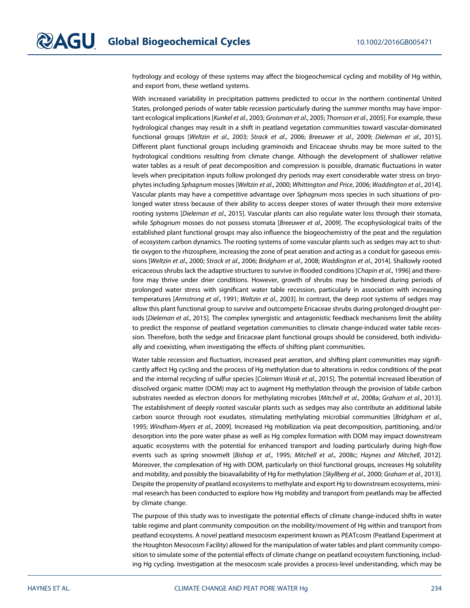hydrology and ecology of these systems may affect the biogeochemical cycling and mobility of Hg within, and export from, these wetland systems.

With increased variability in precipitation patterns predicted to occur in the northern continental United States, prolonged periods of water table recession particularly during the summer months may have important ecological implications [Kunkel et al., 2003; Groisman et al., 2005; Thomson et al., 2005]. For example, these hydrological changes may result in a shift in peatland vegetation communities toward vascular-dominated functional groups [Weltzin et al., 2003; Strack et al., 2006; Breeuwer et al., 2009; Dieleman et al., 2015]. Different plant functional groups including graminoids and Ericaceae shrubs may be more suited to the hydrological conditions resulting from climate change. Although the development of shallower relative water tables as a result of peat decomposition and compression is possible, dramatic fluctuations in water levels when precipitation inputs follow prolonged dry periods may exert considerable water stress on bryophytes including Sphagnum mosses [Weltzin et al., 2000; Whittington and Price, 2006; Waddington et al., 2014]. Vascular plants may have a competitive advantage over Sphagnum moss species in such situations of prolonged water stress because of their ability to access deeper stores of water through their more extensive rooting systems [Dieleman et al., 2015]. Vascular plants can also regulate water loss through their stomata, while Sphagnum mosses do not possess stomata [Breeuwer et al., 2009]. The ecophysiological traits of the established plant functional groups may also influence the biogeochemistry of the peat and the regulation of ecosystem carbon dynamics. The rooting systems of some vascular plants such as sedges may act to shuttle oxygen to the rhizosphere, increasing the zone of peat aeration and acting as a conduit for gaseous emissions [Weltzin et al., 2000; Strack et al., 2006; Bridgham et al., 2008; Waddington et al., 2014]. Shallowly rooted ericaceous shrubs lack the adaptive structures to survive in flooded conditions [Chapin et al., 1996] and therefore may thrive under drier conditions. However, growth of shrubs may be hindered during periods of prolonged water stress with significant water table recession, particularly in association with increasing temperatures [Armstrong et al., 1991; Weltzin et al., 2003]. In contrast, the deep root systems of sedges may allow this plant functional group to survive and outcompete Ericaceae shrubs during prolonged drought periods [Dieleman et al., 2015]. The complex synergistic and antagonistic feedback mechanisms limit the ability to predict the response of peatland vegetation communities to climate change-induced water table recession. Therefore, both the sedge and Ericaceae plant functional groups should be considered, both individually and coexisting, when investigating the effects of shifting plant communities.

Water table recession and fluctuation, increased peat aeration, and shifting plant communities may significantly affect Hg cycling and the process of Hg methylation due to alterations in redox conditions of the peat and the internal recycling of sulfur species [Coleman Wasik et al., 2015]. The potential increased liberation of dissolved organic matter (DOM) may act to augment Hg methylation through the provision of labile carbon substrates needed as electron donors for methylating microbes [Mitchell et al., 2008a; Graham et al., 2013]. The establishment of deeply rooted vascular plants such as sedges may also contribute an additional labile carbon source through root exudates, stimulating methylating microbial communities [Bridgham et al., 1995; Windham-Myers et al., 2009]. Increased Hg mobilization via peat decomposition, partitioning, and/or desorption into the pore water phase as well as Hg complex formation with DOM may impact downstream aquatic ecosystems with the potential for enhanced transport and loading particularly during high-flow events such as spring snowmelt [Bishop et al., 1995; Mitchell et al., 2008c; Haynes and Mitchell, 2012]. Moreover, the complexation of Hg with DOM, particularly on thiol functional groups, increases Hg solubility and mobility, and possibly the bioavailability of Hg for methylation [Skyllberg et al., 2000; Graham et al., 2013]. Despite the propensity of peatland ecosystems to methylate and export Hg to downstream ecosystems, minimal research has been conducted to explore how Hg mobility and transport from peatlands may be affected by climate change.

The purpose of this study was to investigate the potential effects of climate change-induced shifts in water table regime and plant community composition on the mobility/movement of Hg within and transport from peatland ecosystems. A novel peatland mesocosm experiment known as PEATcosm (Peatland Experiment at the Houghton Mesocosm Facility) allowed for the manipulation of water tables and plant community composition to simulate some of the potential effects of climate change on peatland ecosystem functioning, including Hg cycling. Investigation at the mesocosm scale provides a process-level understanding, which may be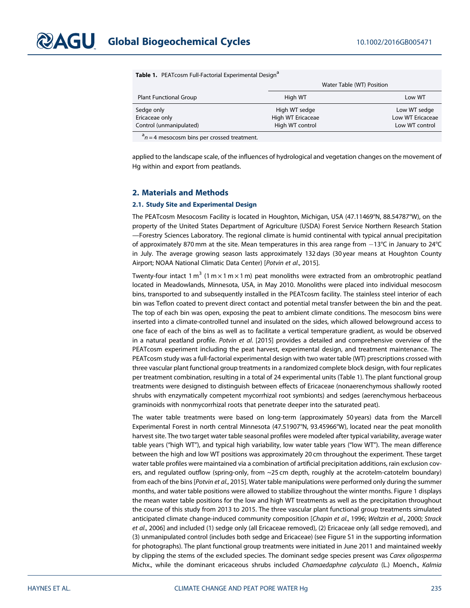|  | Table 1. PEATcosm Full-Factorial Experimental Design <sup>a</sup> |  |
|--|-------------------------------------------------------------------|--|
|  |                                                                   |  |

|                               | Water Table (WT) Position |                  |
|-------------------------------|---------------------------|------------------|
| <b>Plant Functional Group</b> | High WT                   | Low WT           |
| Sedge only                    | High WT sedge             | Low WT sedge     |
| Ericaceae only                | High WT Ericaceae         | Low WT Ericaceae |
| Control (unmanipulated)       | High WT control           | Low WT control   |
| $\overline{a}$                |                           |                  |

 $a^a$ n = 4 mesocosm bins per crossed treatment.

applied to the landscape scale, of the influences of hydrological and vegetation changes on the movement of Hg within and export from peatlands.

#### 2. Materials and Methods

#### 2.1. Study Site and Experimental Design

The PEATcosm Mesocosm Facility is located in Houghton, Michigan, USA (47.11469°N, 88.54787°W), on the property of the United States Department of Agriculture (USDA) Forest Service Northern Research Station —Forestry Sciences Laboratory. The regional climate is humid continental with typical annual precipitation of approximately 870 mm at the site. Mean temperatures in this area range from  $-13^{\circ}C$  in January to 24°C in July. The average growing season lasts approximately 132 days (30 year means at Houghton County Airport; NOAA National Climatic Data Center) [Potvin et al., 2015].

Twenty-four intact 1 m<sup>3</sup> (1 m  $\times$  1 m  $\times$  1 m) peat monoliths were extracted from an ombrotrophic peatland located in Meadowlands, Minnesota, USA, in May 2010. Monoliths were placed into individual mesocosm bins, transported to and subsequently installed in the PEATcosm facility. The stainless steel interior of each bin was Teflon coated to prevent direct contact and potential metal transfer between the bin and the peat. The top of each bin was open, exposing the peat to ambient climate conditions. The mesocosm bins were inserted into a climate-controlled tunnel and insulated on the sides, which allowed belowground access to one face of each of the bins as well as to facilitate a vertical temperature gradient, as would be observed in a natural peatland profile. Potvin et al. [2015] provides a detailed and comprehensive overview of the PEATcosm experiment including the peat harvest, experimental design, and treatment maintenance. The PEATcosm study was a full-factorial experimental design with two water table (WT) prescriptions crossed with three vascular plant functional group treatments in a randomized complete block design, with four replicates per treatment combination, resulting in a total of 24 experimental units (Table 1). The plant functional group treatments were designed to distinguish between effects of Ericaceae (nonaerenchymous shallowly rooted shrubs with enzymatically competent mycorrhizal root symbionts) and sedges (aerenchymous herbaceous graminoids with nonmycorrhizal roots that penetrate deeper into the saturated peat).

The water table treatments were based on long-term (approximately 50 years) data from the Marcell Experimental Forest in north central Minnesota (47.51907°N, 93.45966°W), located near the peat monolith harvest site. The two target water table seasonal profiles were modeled after typical variability, average water table years ("high WT"), and typical high variability, low water table years ("low WT"). The mean difference between the high and low WT positions was approximately 20 cm throughout the experiment. These target water table profiles were maintained via a combination of artificial precipitation additions, rain exclusion covers, and regulated outflow (spring-only, from ~25 cm depth, roughly at the acrotelm-catotelm boundary) from each of the bins [Potvin et al., 2015]. Water table manipulations were performed only during the summer months, and water table positions were allowed to stabilize throughout the winter months. Figure 1 displays the mean water table positions for the low and high WT treatments as well as the precipitation throughout the course of this study from 2013 to 2015. The three vascular plant functional group treatments simulated anticipated climate change-induced community composition [Chapin et al., 1996; Weltzin et al., 2000; Strack et al., 2006] and included (1) sedge only (all Ericaceae removed), (2) Ericaceae only (all sedge removed), and (3) unmanipulated control (includes both sedge and Ericaceae) (see Figure S1 in the supporting information for photographs). The plant functional group treatments were initiated in June 2011 and maintained weekly by clipping the stems of the excluded species. The dominant sedge species present was Carex oligosperma Michx., while the dominant ericaceous shrubs included Chamaedaphne calyculata (L.) Moench., Kalmia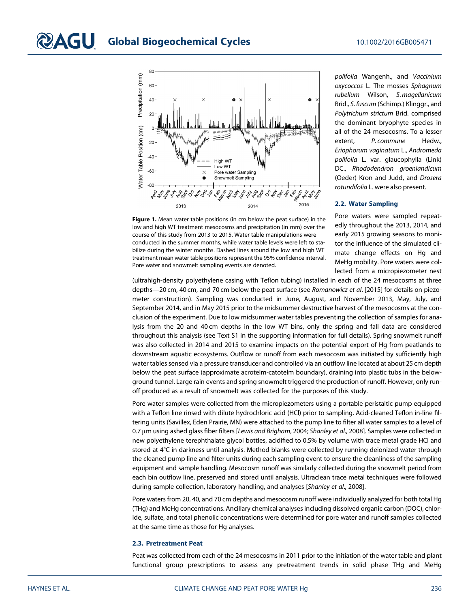

Figure 1. Mean water table positions (in cm below the peat surface) in the low and high WT treatment mesocosms and precipitation (in mm) over the course of this study from 2013 to 2015. Water table manipulations were conducted in the summer months, while water table levels were left to stabilize during the winter months. Dashed lines around the low and high WT treatment mean water table positions represent the 95% confidence interval. Pore water and snowmelt sampling events are denoted.

polifolia Wangenh., and Vaccinium oxycoccos L. The mosses Sphagnum rubellum Wilson, S. magellanicum Brid., S. fuscum (Schimp.) Klinggr., and Polytrichum strictum Brid. comprised the dominant bryophyte species in all of the 24 mesocosms. To a lesser extent, P. commune Hedw., Eriophorum vaginatum L., Andromeda polifolia L. var. glaucophylla (Link) DC., Rhododendron groenlandicum (Oeder) Kron and Judd, and Drosera rotundifolia L. were also present.

#### 2.2. Water Sampling

Pore waters were sampled repeatedly throughout the 2013, 2014, and early 2015 growing seasons to monitor the influence of the simulated climate change effects on Hg and MeHg mobility. Pore waters were collected from a micropiezometer nest

(ultrahigh-density polyethylene casing with Teflon tubing) installed in each of the 24 mesocosms at three depths—20 cm, 40 cm, and 70 cm below the peat surface (see Romanowicz et al. [2015] for details on piezometer construction). Sampling was conducted in June, August, and November 2013, May, July, and September 2014, and in May 2015 prior to the midsummer destructive harvest of the mesocosms at the conclusion of the experiment. Due to low midsummer water tables preventing the collection of samples for analysis from the 20 and 40 cm depths in the low WT bins, only the spring and fall data are considered throughout this analysis (see Text S1 in the supporting information for full details). Spring snowmelt runoff was also collected in 2014 and 2015 to examine impacts on the potential export of Hg from peatlands to downstream aquatic ecosystems. Outflow or runoff from each mesocosm was initiated by sufficiently high water tables sensed via a pressure transducer and controlled via an outflow line located at about 25 cm depth below the peat surface (approximate acrotelm-catotelm boundary), draining into plastic tubs in the belowground tunnel. Large rain events and spring snowmelt triggered the production of runoff. However, only runoff produced as a result of snowmelt was collected for the purposes of this study.

Pore water samples were collected from the micropiezometers using a portable peristaltic pump equipped with a Teflon line rinsed with dilute hydrochloric acid (HCl) prior to sampling. Acid-cleaned Teflon in-line filtering units (Savillex, Eden Prairie, MN) were attached to the pump line to filter all water samples to a level of 0.7 μm using ashed glass fiber filters [Lewis and Brigham, 2004; Shanley et al., 2008]. Samples were collected in new polyethylene terephthalate glycol bottles, acidified to 0.5% by volume with trace metal grade HCl and stored at 4°C in darkness until analysis. Method blanks were collected by running deionized water through the cleaned pump line and filter units during each sampling event to ensure the cleanliness of the sampling equipment and sample handling. Mesocosm runoff was similarly collected during the snowmelt period from each bin outflow line, preserved and stored until analysis. Ultraclean trace metal techniques were followed during sample collection, laboratory handling, and analyses [Shanley et al., 2008].

Pore waters from 20, 40, and 70 cm depths and mesocosm runoff were individually analyzed for both total Hg (THg) and MeHg concentrations. Ancillary chemical analyses including dissolved organic carbon (DOC), chloride, sulfate, and total phenolic concentrations were determined for pore water and runoff samples collected at the same time as those for Hg analyses.

#### 2.3. Pretreatment Peat

Peat was collected from each of the 24 mesocosms in 2011 prior to the initiation of the water table and plant functional group prescriptions to assess any pretreatment trends in solid phase THg and MeHg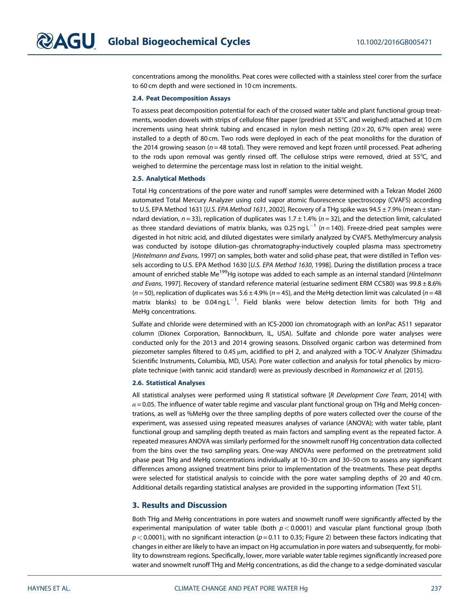concentrations among the monoliths. Peat cores were collected with a stainless steel corer from the surface to 60 cm depth and were sectioned in 10 cm increments.

#### 2.4. Peat Decomposition Assays

To assess peat decomposition potential for each of the crossed water table and plant functional group treatments, wooden dowels with strips of cellulose filter paper (predried at 55°C and weighed) attached at 10 cm increments using heat shrink tubing and encased in nylon mesh netting  $(20 \times 20, 67\%)$  open area) were installed to a depth of 80 cm. Two rods were deployed in each of the peat monoliths for the duration of the 2014 growing season ( $n = 48$  total). They were removed and kept frozen until processed. Peat adhering to the rods upon removal was gently rinsed off. The cellulose strips were removed, dried at 55°C, and weighed to determine the percentage mass lost in relation to the initial weight.

#### 2.5. Analytical Methods

Total Hg concentrations of the pore water and runoff samples were determined with a Tekran Model 2600 automated Total Mercury Analyzer using cold vapor atomic fluorescence spectroscopy (CVAFS) according to U.S. EPA Method 1631 [U.S. EPA Method 1631, 2002]. Recovery of a THg spike was  $94.5 \pm 7.9\%$  (mean  $\pm$  stanndard deviation,  $n = 33$ ), replication of duplicates was 1.7  $\pm$  1.4% ( $n = 32$ ), and the detection limit, calculated as three standard deviations of matrix blanks, was 0.25 ng  $L^{-1}$  (n = 140). Freeze-dried peat samples were digested in hot nitric acid, and diluted digestates were similarly analyzed by CVAFS. Methylmercury analysis was conducted by isotope dilution-gas chromatography-inductively coupled plasma mass spectrometry [Hintelmann and Evans, 1997] on samples, both water and solid-phase peat, that were distilled in Teflon vessels according to U.S. EPA Method 1630 [U.S. EPA Method 1630, 1998]. During the distillation process a trace amount of enriched stable Me<sup>199</sup>Hg isotope was added to each sample as an internal standard [Hintelmann and Evans, 1997]. Recovery of standard reference material (estuarine sediment ERM CC580) was 99.8 ± 8.6%  $(n = 50)$ , replication of duplicates was  $5.6 \pm 4.9\%$  (n = 45), and the MeHg detection limit was calculated (n = 48 matrix blanks) to be 0.04 $\,$ ng $\,$ L $^{-1}$ . Field blanks were below detection limits for both THg and MeHg concentrations.

Sulfate and chloride were determined with an ICS-2000 ion chromatograph with an IonPac AS11 separator column (Dionex Corporation, Bannockburn, IL, USA). Sulfate and chloride pore water analyses were conducted only for the 2013 and 2014 growing seasons. Dissolved organic carbon was determined from piezometer samples filtered to 0.45 μm, acidified to pH 2, and analyzed with a TOC-V Analyzer (Shimadzu Scientific Instruments, Columbia, MD, USA). Pore water collection and analysis for total phenolics by microplate technique (with tannic acid standard) were as previously described in Romanowicz et al. [2015].

#### 2.6. Statistical Analyses

All statistical analyses were performed using R statistical software [R Development Core Team, 2014] with  $\alpha$  = 0.05. The influence of water table regime and vascular plant functional group on THg and MeHg concentrations, as well as %MeHg over the three sampling depths of pore waters collected over the course of the experiment, was assessed using repeated measures analyses of variance (ANOVA); with water table, plant functional group and sampling depth treated as main factors and sampling event as the repeated factor. A repeated measures ANOVA was similarly performed for the snowmelt runoff Hg concentration data collected from the bins over the two sampling years. One-way ANOVAs were performed on the pretreatment solid phase peat THg and MeHg concentrations individually at 10–30 cm and 30–50 cm to assess any significant differences among assigned treatment bins prior to implementation of the treatments. These peat depths were selected for statistical analysis to coincide with the pore water sampling depths of 20 and 40 cm. Additional details regarding statistical analyses are provided in the supporting information (Text S1).

#### 3. Results and Discussion

Both THg and MeHg concentrations in pore waters and snowmelt runoff were significantly affected by the experimental manipulation of water table (both  $p < 0.0001$ ) and vascular plant functional group (both  $p < 0.0001$ ), with no significant interaction ( $p = 0.11$  to 0.35; Figure 2) between these factors indicating that changes in either are likely to have an impact on Hg accumulation in pore waters and subsequently, for mobility to downstream regions. Specifically, lower, more variable water table regimes significantly increased pore water and snowmelt runoff THg and MeHg concentrations, as did the change to a sedge-dominated vascular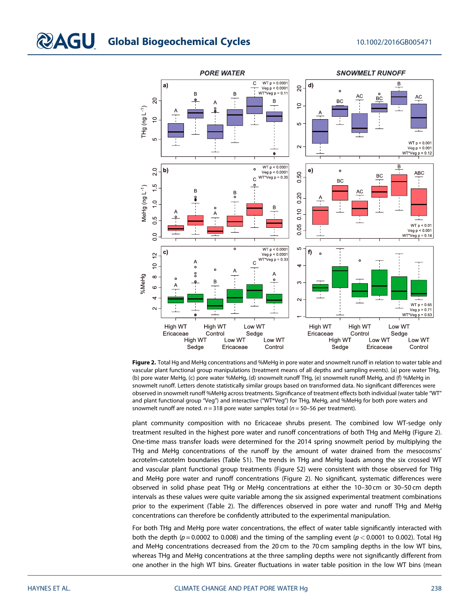

Figure 2. Total Hg and MeHg concentrations and %MeHg in pore water and snowmelt runoff in relation to water table and vascular plant functional group manipulations (treatment means of all depths and sampling events). (a) pore water THg, (b) pore water MeHg, (c) pore water %MeHg, (d) snowmelt runoff THg, (e) snowmelt runoff MeHg, and (f) %MeHg in snowmelt runoff. Letters denote statistically similar groups based on transformed data. No significant differences were observed in snowmelt runoff %MeHg across treatments. Significance of treatment effects both individual (water table "WT" and plant functional group "Veg") and interactive ("WT\*Veg") for THg, MeHg, and %MeHg for both pore waters and snowmelt runoff are noted.  $n = 318$  pore water samples total ( $n = 50-56$  per treatment).

plant community composition with no Ericaceae shrubs present. The combined low WT-sedge only treatment resulted in the highest pore water and runoff concentrations of both THg and MeHg (Figure 2). One-time mass transfer loads were determined for the 2014 spring snowmelt period by multiplying the THg and MeHg concentrations of the runoff by the amount of water drained from the mesocosms' acrotelm-catotelm boundaries (Table S1). The trends in THg and MeHg loads among the six crossed WT and vascular plant functional group treatments (Figure S2) were consistent with those observed for THg and MeHg pore water and runoff concentrations (Figure 2). No significant, systematic differences were observed in solid phase peat THg or MeHg concentrations at either the 10–30 cm or 30–50 cm depth intervals as these values were quite variable among the six assigned experimental treatment combinations prior to the experiment (Table 2). The differences observed in pore water and runoff THg and MeHg concentrations can therefore be confidently attributed to the experimental manipulation.

For both THg and MeHg pore water concentrations, the effect of water table significantly interacted with both the depth ( $p = 0.0002$  to 0.008) and the timing of the sampling event ( $p < 0.0001$  to 0.002). Total Hg and MeHg concentrations decreased from the 20 cm to the 70 cm sampling depths in the low WT bins, whereas THg and MeHg concentrations at the three sampling depths were not significantly different from one another in the high WT bins. Greater fluctuations in water table position in the low WT bins (mean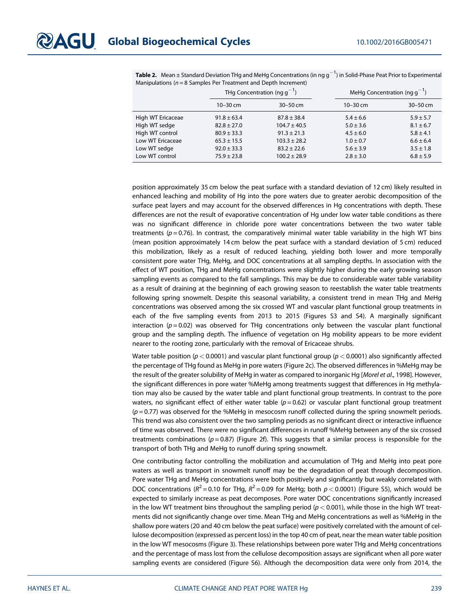|                   | THg Concentration (ng $q^{-1}$ ) |                  |               | MeHg Concentration (ng $q^{-1}$ ) |  |
|-------------------|----------------------------------|------------------|---------------|-----------------------------------|--|
|                   | $10 - 30$ cm                     | $30 - 50$ cm     | $10 - 30$ cm  | $30 - 50$ cm                      |  |
| High WT Ericaceae | $91.8 \pm 63.4$                  | $87.8 \pm 38.4$  | $5.4 \pm 6.6$ | $5.9 \pm 5.7$                     |  |
| High WT sedge     | $82.8 \pm 27.0$                  | $104.7 \pm 40.5$ | $5.0 \pm 3.6$ | $8.1 \pm 6.7$                     |  |
| High WT control   | $80.9 \pm 33.3$                  | $91.3 \pm 21.3$  | $4.5 \pm 6.0$ | $5.8 \pm 4.1$                     |  |
| Low WT Ericaceae  | $65.3 \pm 15.5$                  | $103.3 \pm 28.2$ | $1.0 \pm 0.7$ | $6.6 \pm 6.4$                     |  |
| Low WT sedge      | $92.0 \pm 33.3$                  | $83.2 + 22.6$    | $5.6 \pm 3.9$ | $3.5 \pm 1.8$                     |  |
| Low WT control    | $75.9 \pm 23.8$                  | $100.2 \pm 28.9$ | $2.8 \pm 3.0$ | $6.8 \pm 5.9$                     |  |

**Table 2.** Mean  $\pm$  Standard Deviation THg and MeHg Concentrations (in ng g $^{-1}$ ) in Solid-Phase Peat Prior to Experimental Manipulations ( $n = 8$  Samples Per Treatment and Depth Increment)

position approximately 35 cm below the peat surface with a standard deviation of 12 cm) likely resulted in enhanced leaching and mobility of Hg into the pore waters due to greater aerobic decomposition of the surface peat layers and may account for the observed differences in Hg concentrations with depth. These differences are not the result of evaporative concentration of Hg under low water table conditions as there was no significant difference in chloride pore water concentrations between the two water table treatments ( $p = 0.76$ ). In contrast, the comparatively minimal water table variability in the high WT bins (mean position approximately 14 cm below the peat surface with a standard deviation of 5 cm) reduced this mobilization, likely as a result of reduced leaching, yielding both lower and more temporally consistent pore water THg, MeHg, and DOC concentrations at all sampling depths. In association with the effect of WT position, THg and MeHg concentrations were slightly higher during the early growing season sampling events as compared to the fall samplings. This may be due to considerable water table variability as a result of draining at the beginning of each growing season to reestablish the water table treatments following spring snowmelt. Despite this seasonal variability, a consistent trend in mean THg and MeHg concentrations was observed among the six crossed WT and vascular plant functional group treatments in each of the five sampling events from 2013 to 2015 (Figures S3 and S4). A marginally significant interaction ( $p = 0.02$ ) was observed for THg concentrations only between the vascular plant functional group and the sampling depth. The influence of vegetation on Hg mobility appears to be more evident nearer to the rooting zone, particularly with the removal of Ericaceae shrubs.

Water table position ( $p < 0.0001$ ) and vascular plant functional group ( $p < 0.0001$ ) also significantly affected the percentage of THg found as MeHg in pore waters (Figure 2c). The observed differences in %MeHg may be the result of the greater solubility of MeHg in water as compared to inorganic Hg [Morel et al., 1998]. However, the significant differences in pore water %MeHg among treatments suggest that differences in Hg methylation may also be caused by the water table and plant functional group treatments. In contrast to the pore waters, no significant effect of either water table  $(p=0.62)$  or vascular plant functional group treatment  $(p=0.77)$  was observed for the %MeHg in mesocosm runoff collected during the spring snowmelt periods. This trend was also consistent over the two sampling periods as no significant direct or interactive influence of time was observed. There were no significant differences in runoff %MeHg between any of the six crossed treatments combinations ( $p = 0.87$ ) (Figure 2f). This suggests that a similar process is responsible for the transport of both THg and MeHg to runoff during spring snowmelt.

One contributing factor controlling the mobilization and accumulation of THg and MeHg into peat pore waters as well as transport in snowmelt runoff may be the degradation of peat through decomposition. Pore water THg and MeHg concentrations were both positively and significantly but weakly correlated with DOC concentrations ( $R^2$  = 0.10 for THg,  $R^2$  = 0.09 for MeHg; both  $p$  < 0.0001) (Figure S5), which would be expected to similarly increase as peat decomposes. Pore water DOC concentrations significantly increased in the low WT treatment bins throughout the sampling period ( $p < 0.001$ ), while those in the high WT treatments did not significantly change over time. Mean THg and MeHg concentrations as well as %MeHg in the shallow pore waters (20 and 40 cm below the peat surface) were positively correlated with the amount of cellulose decomposition (expressed as percent loss) in the top 40 cm of peat, near the mean water table position in the low WT mesocosms (Figure 3). These relationships between pore water THg and MeHg concentrations and the percentage of mass lost from the cellulose decomposition assays are significant when all pore water sampling events are considered (Figure S6). Although the decomposition data were only from 2014, the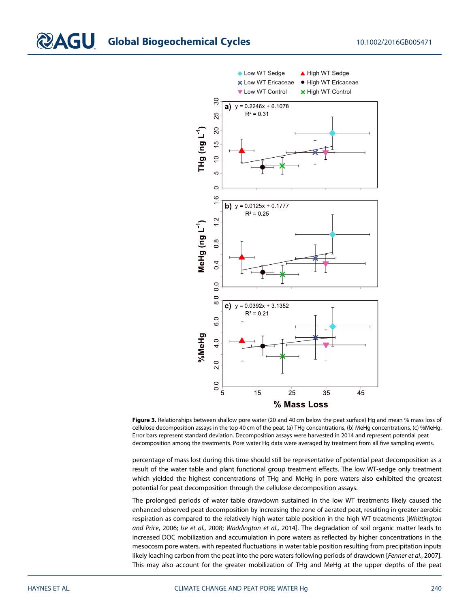## **CLO** Global Biogeochemical Cycles 10.1002/2016GB005471





percentage of mass lost during this time should still be representative of potential peat decomposition as a result of the water table and plant functional group treatment effects. The low WT-sedge only treatment which yielded the highest concentrations of THg and MeHg in pore waters also exhibited the greatest potential for peat decomposition through the cellulose decomposition assays.

The prolonged periods of water table drawdown sustained in the low WT treatments likely caused the enhanced observed peat decomposition by increasing the zone of aerated peat, resulting in greater aerobic respiration as compared to the relatively high water table position in the high WT treatments [Whittington and Price, 2006; Ise et al., 2008; Waddington et al., 2014]. The degradation of soil organic matter leads to increased DOC mobilization and accumulation in pore waters as reflected by higher concentrations in the mesocosm pore waters, with repeated fluctuations in water table position resulting from precipitation inputs likely leaching carbon from the peat into the pore waters following periods of drawdown [Fenner et al., 2007]. This may also account for the greater mobilization of THg and MeHg at the upper depths of the peat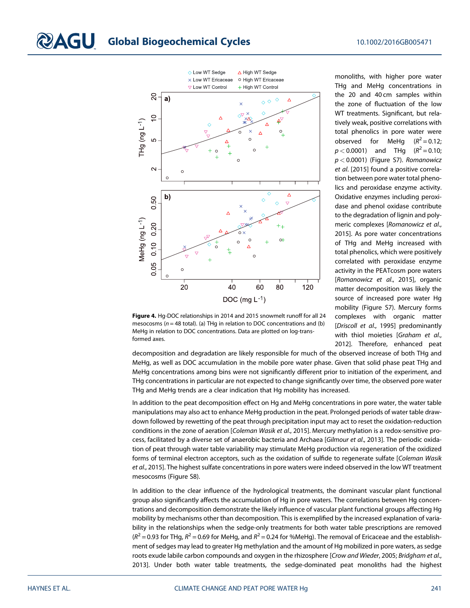

Figure 4. Hg-DOC relationships in 2014 and 2015 snowmelt runoff for all 24 mesocosms ( $n = 48$  total). (a) THg in relation to DOC concentrations and (b) MeHg in relation to DOC concentrations. Data are plotted on log-transformed axes.

monoliths, with higher pore water THg and MeHg concentrations in the 20 and 40 cm samples within the zone of fluctuation of the low WT treatments. Significant, but relatively weak, positive correlations with total phenolics in pore water were observed for MeHg  $(R^2 = 0.12)$ ;  $p < 0.0001$ ) and THg  $(R^2 = 0.10)$ ;  $p < 0.0001$ ) (Figure S7). Romanowicz et al. [2015] found a positive correlation between pore water total phenolics and peroxidase enzyme activity. Oxidative enzymes including peroxidase and phenol oxidase contribute to the degradation of lignin and polymeric complexes [Romanowicz et al., 2015]. As pore water concentrations of THg and MeHg increased with total phenolics, which were positively correlated with peroxidase enzyme activity in the PEATcosm pore waters [Romanowicz et al., 2015], organic matter decomposition was likely the source of increased pore water Hg mobility (Figure S7). Mercury forms complexes with organic matter [Driscoll et al., 1995] predominantly with thiol moieties [Graham et al., 2012]. Therefore, enhanced peat

decomposition and degradation are likely responsible for much of the observed increase of both THg and MeHg, as well as DOC accumulation in the mobile pore water phase. Given that solid phase peat THg and MeHg concentrations among bins were not significantly different prior to initiation of the experiment, and THg concentrations in particular are not expected to change significantly over time, the observed pore water THg and MeHg trends are a clear indication that Hg mobility has increased.

In addition to the peat decomposition effect on Hg and MeHg concentrations in pore water, the water table manipulations may also act to enhance MeHg production in the peat. Prolonged periods of water table drawdown followed by rewetting of the peat through precipitation input may act to reset the oxidation-reduction conditions in the zone of aeration [Coleman Wasik et al., 2015]. Mercury methylation is a redox-sensitive process, facilitated by a diverse set of anaerobic bacteria and Archaea [Gilmour et al., 2013]. The periodic oxidation of peat through water table variability may stimulate MeHg production via regeneration of the oxidized forms of terminal electron acceptors, such as the oxidation of sulfide to regenerate sulfate [Coleman Wasik et al., 2015]. The highest sulfate concentrations in pore waters were indeed observed in the low WT treatment mesocosms (Figure S8).

In addition to the clear influence of the hydrological treatments, the dominant vascular plant functional group also significantly affects the accumulation of Hg in pore waters. The correlations between Hg concentrations and decomposition demonstrate the likely influence of vascular plant functional groups affecting Hg mobility by mechanisms other than decomposition. This is exemplified by the increased explanation of variability in the relationships when the sedge-only treatments for both water table prescriptions are removed  $(R^2 = 0.93$  for THg,  $R^2 = 0.69$  for MeHg, and  $R^2 = 0.24$  for %MeHg). The removal of Ericaceae and the establishment of sedges may lead to greater Hg methylation and the amount of Hg mobilized in pore waters, as sedge roots exude labile carbon compounds and oxygen in the rhizosphere [Crow and Wieder, 2005; Bridgham et al., 2013]. Under both water table treatments, the sedge-dominated peat monoliths had the highest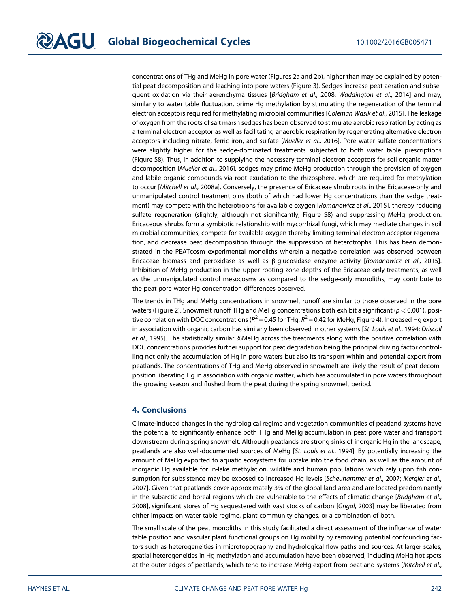concentrations of THg and MeHg in pore water (Figures 2a and 2b), higher than may be explained by potential peat decomposition and leaching into pore waters (Figure 3). Sedges increase peat aeration and subsequent oxidation via their aerenchyma tissues [Bridgham et al., 2008; Waddington et al., 2014] and may, similarly to water table fluctuation, prime Hg methylation by stimulating the regeneration of the terminal electron acceptors required for methylating microbial communities [Coleman Wasik et al., 2015]. The leakage of oxygen from the roots of salt marsh sedges has been observed to stimulate aerobic respiration by acting as a terminal electron acceptor as well as facilitating anaerobic respiration by regenerating alternative electron acceptors including nitrate, ferric iron, and sulfate [Mueller et al., 2016]. Pore water sulfate concentrations were slightly higher for the sedge-dominated treatments subjected to both water table prescriptions (Figure S8). Thus, in addition to supplying the necessary terminal electron acceptors for soil organic matter decomposition [Mueller et al., 2016], sedges may prime MeHg production through the provision of oxygen and labile organic compounds via root exudation to the rhizosphere, which are required for methylation to occur [Mitchell et al., 2008a]. Conversely, the presence of Ericaceae shrub roots in the Ericaceae-only and unmanipulated control treatment bins (both of which had lower Hg concentrations than the sedge treatment) may compete with the heterotrophs for available oxygen [Romanowicz et al., 2015], thereby reducing sulfate regeneration (slightly, although not significantly; Figure S8) and suppressing MeHg production. Ericaceous shrubs form a symbiotic relationship with mycorrhizal fungi, which may mediate changes in soil microbial communities, compete for available oxygen thereby limiting terminal electron acceptor regeneration, and decrease peat decomposition through the suppression of heterotrophs. This has been demonstrated in the PEATcosm experimental monoliths wherein a negative correlation was observed between Ericaceae biomass and peroxidase as well as β-glucosidase enzyme activity [Romanowicz et al., 2015]. Inhibition of MeHg production in the upper rooting zone depths of the Ericaceae-only treatments, as well as the unmanipulated control mesocosms as compared to the sedge-only monoliths, may contribute to the peat pore water Hg concentration differences observed.

The trends in THg and MeHg concentrations in snowmelt runoff are similar to those observed in the pore waters (Figure 2). Snowmelt runoff THg and MeHg concentrations both exhibit a significant ( $p < 0.001$ ), positive correlation with DOC concentrations ( $R^2$  = 0.45 for THg,  $R^2$  = 0.42 for MeHg; Figure 4). Increased Hg export in association with organic carbon has similarly been observed in other systems [St. Louis et al., 1994; Driscoll et al., 1995]. The statistically similar %MeHg across the treatments along with the positive correlation with DOC concentrations provides further support for peat degradation being the principal driving factor controlling not only the accumulation of Hg in pore waters but also its transport within and potential export from peatlands. The concentrations of THg and MeHg observed in snowmelt are likely the result of peat decomposition liberating Hg in association with organic matter, which has accumulated in pore waters throughout the growing season and flushed from the peat during the spring snowmelt period.

#### 4. Conclusions

Climate-induced changes in the hydrological regime and vegetation communities of peatland systems have the potential to significantly enhance both THg and MeHg accumulation in peat pore water and transport downstream during spring snowmelt. Although peatlands are strong sinks of inorganic Hg in the landscape, peatlands are also well-documented sources of MeHg [St. Louis et al., 1994]. By potentially increasing the amount of MeHg exported to aquatic ecosystems for uptake into the food chain, as well as the amount of inorganic Hg available for in-lake methylation, wildlife and human populations which rely upon fish consumption for subsistence may be exposed to increased Hg levels [Scheuhammer et al., 2007; Mergler et al., 2007]. Given that peatlands cover approximately 3% of the global land area and are located predominantly in the subarctic and boreal regions which are vulnerable to the effects of climatic change [Bridgham et al., 2008], significant stores of Hg sequestered with vast stocks of carbon [Grigal, 2003] may be liberated from either impacts on water table regime, plant community changes, or a combination of both.

The small scale of the peat monoliths in this study facilitated a direct assessment of the influence of water table position and vascular plant functional groups on Hg mobility by removing potential confounding factors such as heterogeneities in microtopography and hydrological flow paths and sources. At larger scales, spatial heterogeneities in Hg methylation and accumulation have been observed, including MeHg hot spots at the outer edges of peatlands, which tend to increase MeHg export from peatland systems [Mitchell et al.,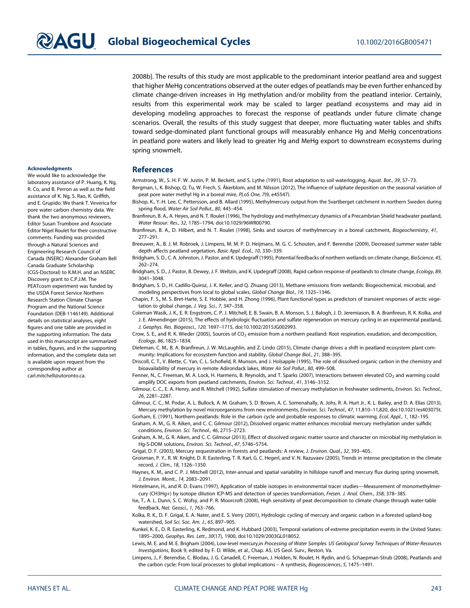2008b]. The results of this study are most applicable to the predominant interior peatland area and suggest that higher MeHg concentrations observed at the outer edges of peatlands may be even further enhanced by climate change-driven increases in Hg methylation and/or mobility from the peatland interior. Certainly, results from this experimental work may be scaled to larger peatland ecosystems and may aid in developing modeling approaches to forecast the response of peatlands under future climate change scenarios. Overall, the results of this study suggest that deeper, more fluctuating water tables and shifts toward sedge-dominated plant functional groups will measurably enhance Hg and MeHg concentrations in peatland pore waters and likely lead to greater Hg and MeHg export to downstream ecosystems during spring snowmelt.

#### Acknowledgments

We would like to acknowledge the laboratory assistance of P. Huang, K. Ng, R. Co, and B. Perron as well as the field assistance of K. Ng, S. Rao, K. Griffith, and E. Grupido. We thank T. Veverica for pore water carbon chemistry data. We thank the two anonymous reviewers, Editor Susan Trumbore and Associate Editor Nigel Roulet for their constructive comments. Funding was provided through a Natural Sciences and Engineering Research Council of Canada (NSERC) Alexander Graham Bell Canada Graduate Scholarship (CGS-Doctoral) to K.M.H. and an NSERC Discovery grant to C.P.J.M. The PEATcosm experiment was funded by the USDA Forest Service Northern Research Station Climate Change Program and the National Science Foundation (DEB-1146149). Additional details on statistical analyses, eight figures and one table are provided in the supporting information. The data used in this manuscript are summarized in tables, figures, and in the supporting information, and the complete data set is available upon request from the corresponding author at [carl.mitchell@utoronto.ca](mailto:carl.mitchell@utoronto.ca).

#### **References**

Armstrong, W., S. H. F. W. Justin, P. M. Beckett, and S. Lythe (1991), Root adaptation to soil waterlogging, Aquat. Bot., 39, 57–73.

Bergman, I., K. Bishop, Q. Tu, W. Frech, S. Åkerblom, and M. Nilsson (2012), The influence of sulphate deposition on the seasonal variation of peat pore water methyl Hg in a boreal mire, PLoS One, 7(9, e45547).

Bishop, K., Y.-H. Lee, C. Pettersson, and B. Allard (1995), Methylmercury output from the Svartberget catchment in northern Sweden during spring flood, Water Air Soil Pollut., 80, 445–454.

Branfireun, B. A., A. Heyes, and N. T. Roulet (1996), The hydrology and methylmercury dynamics of a Precambrian Shield headwater peatland, Water Resour. Res., 32, 1785–1794, doi:[10.1029/96WR00790.](http://doi.org/10.1029/96WR00790)

Branfireun, B. A., D. Hilbert, and N. T. Roulet (1998), Sinks and sources of methylmercury in a boreal catchment, Biogeochemistry, 41, 277–291.

Breeuwer, A., B. J. M. Robroek, J. Limpens, M. M. P. D. Heijmans, M. G. C. Schouten, and F. Berendse (2009), Decreased summer water table depth affects peatland vegetation, Basic Appl. Ecol., 10, 330–339.

Bridgham, S. D., C. A. Johnston, J. Pastor, and K. Updegraff (1995), Potential feedbacks of northern wetlands on climate change, BioScience, 45, 262–274.

Bridgham, S. D., J. Pastor, B. Dewey, J. F. Weltzin, and K. Updegraff (2008), Rapid carbon response of peatlands to climate change, Ecology, 89, 3041–3048.

Bridgham, S. D., H. Cadillo-Quiroz, J. K. Keller, and Q. Zhuang (2013), Methane emissions from wetlands: Biogeochemical, microbial, and modeling perspectives from local to global scales, Global Change Biol., 19, 1325–1346.

Chapin, F. S., M. S. Bret-Harte, S. E. Hobbie, and H. Zhong (1996), Plant functional types as predictors of transient responses of arctic vegetation to global change, J. Veg. Sci., 7, 347–358.

Coleman Wasik, J. K., E. R. Engstrom, C. P. J. Mitchell, E. B. Swain, B. A. Monson, S. J. Balogh, J. D. Jeremiason, B. A. Branfireun, R. K. Kolka, and J. E. Almendinger (2015), The effects of hydrologic fluctuation and sulfate regeneration on mercury cycling in an experimental peatland, J. Geophys. Res. Biogeosci., 120, 1697–1715, doi[:10.1002/2015JG002993](http://doi.org/10.1002/2015JG002993).

Crow, S. E., and R. K. Wieder (2005), Sources of CO<sub>2</sub> emission from a northern peatland: Root respiration, exudation, and decomposition, Ecology, 86, 1825–1834.

Dieleman, C. M., B. A. Branfireun, J. W. McLaughlin, and Z. Lindo (2015), Climate change drives a shift in peatland ecosystem plant community: Implications for ecosystem function and stability, Global Change Biol., 21, 388–395.

Driscoll, C. T., V. Blette, C. Yan, C. L. Schofield, R. Munson, and J. Holsapple (1995), The role of dissolved organic carbon in the chemistry and bioavailability of mercury in remote Adirondack lakes, Water Air Soil Pollut., 80, 499–508.

Fenner, N., C. Freeman, M. A. Lock, H. Harmens, B. Reynolds, and T. Sparks (2007), Interactions between elevated CO<sub>2</sub> and warming could amplify DOC exports from peatland catchments, Environ. Sci. Technol., 41, 3146–3152.

Gilmour, C. C., E. A. Henry, and R. Mitchell (1992), Sulfate stimulation of mercury methylation in freshwater sediments, Environ. Sci. Technol., 26, 2281–2287.

Gilmour, C. C., M. Podar, A. L. Bullock, A. M. Graham, S. D. Brown, A. C. Somenahally, A. Johs, R. A. Hurt Jr., K. L. Bailey, and D. A. Elias (2013), Mercury methylation by novel microorganisms from new environments, Environ. Sci. Technol., 47, 11,810–11,820, doi:[10.1021/es403075t](http://doi.org/10.1021/es403075t).

Gorham, E. (1991), Northern peatlands: Role in the carbon cycle and probable responses to climatic warming, Ecol. Appl., 1, 182–195. Graham, A. M., G. R. Aiken, and C. C. Gilmour (2012), Dissolved organic matter enhances microbial mercury methylation under sulfidic conditions, Environ. Sci. Technol., 46, 2715–2723.

Graham, A. M., G. R. Aiken, and C. C. Gilmour (2013), Effect of dissolved organic matter source and character on microbial Hg methylation in Hg-S-DOM solutions, Environ. Sci. Technol., 47, 5746–5754.

Grigal, D. F. (2003), Mercury sequestration in forests and peatlands: A review, J. Environ. Qual., 32, 393–405.

Groisman, P. Y., R. W. Knight, D. R. Easterling, T. R. Karl, G. C. Hegerl, and V. N. Razuvaev (2005), Trends in intense precipitation in the climate record, J. Clim., 18, 1326–1350.

Haynes, K. M., and C. P. J. Mitchell (2012), Inter-annual and spatial variability in hillslope runoff and mercury flux during spring snowmelt, J. Environ. Monit., 14, 2083–2091.

Hintelmann, H., and R. D. Evans (1997), Application of stable isotopes in environmental tracer studies—Measurement of monomethylmercury (CH3Hg+) by isotope dilution ICP-MS and detection of species transformation, Fresen. J. Anal. Chem., 358, 378–385.

Ise, T., A. L. Dunn, S. C. Wofsy, and P. R. Moorcroft (2008), High sensitivity of peat decomposition to climate change through water-table feedback, Nat. Geosci., 1, 763–766.

Kolka, R. K., D. F. Grigal, E. A. Nater, and E. S. Verry (2001), Hydrologic cycling of mercury and organic carbon in a forested upland-bog watershed, Soil Sci. Soc. Am. J., 65, 897–905.

Kunkel, K. E., D. R. Easterling, K. Redmond, and K. Hubbard (2003), Temporal variations of extreme precipitation events in the United States: 1895–2000, Geophys. Res. Lett., 30(17), 1900, doi:[10.1029/2003GL018052.](http://doi.org/10.1029/2003GL018052)

Lewis, M. E. and M. E. Brigham (2004), Low-level mercury,in Processing of Water Samples. US Geological Survey Techniques of Water-Resources Investigations, Book 9, edited by F. D. Wilde, et al., Chap. A5, US Geol. Surv., Reston, Va.

Limpens, J., F. Berendse, C. Blodau, J. G. Canadell, C. Freeman, J. Holden, N. Roulet, H. Rydin, and G. Schaepman-Strub (2008), Peatlands and the carbon cycle: From local processes to global implications – A synthesis, Biogeosciences, 5, 1475–1491.